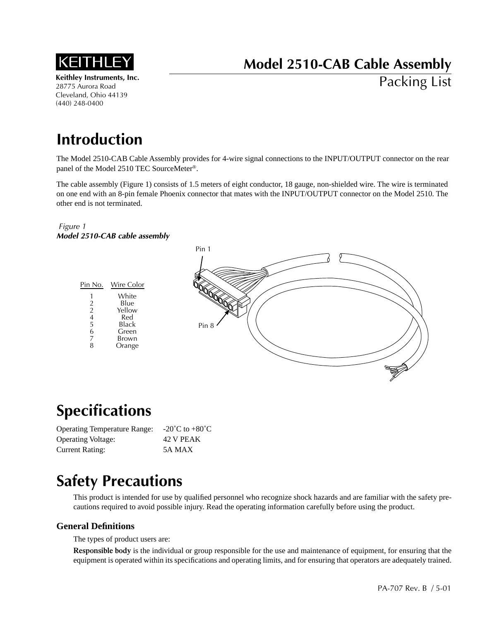

**Keithley Instruments, Inc.** 28775 Aurora Road Cleveland, Ohio 44139 (440) 248-0400

# **Model 2510-CAB Cable Assembly**

Packing List

## **Introduction**

The Model 2510-CAB Cable Assembly provides for 4-wire signal connections to the INPUT/OUTPUT connector on the rear panel of the Model 2510 TEC SourceMeter®.

The cable assembly (Figure 1) consists of 1.5 meters of eight conductor, 18 gauge, non-shielded wire. The wire is terminated on one end with an 8-pin female Phoenix connector that mates with the INPUT/OUTPUT connector on the Model 2510. The other end is not terminated.

### *Figure 1 Model 2510-CAB cable assembly*



### **Specifications**

| <b>Operating Temperature Range:</b> | -20 $^{\circ}$ C to +80 $^{\circ}$ C |
|-------------------------------------|--------------------------------------|
| <b>Operating Voltage:</b>           | 42 V PEAK                            |
| Current Rating:                     | 5A MAX                               |

### **Safety Precautions**

This product is intended for use by qualified personnel who recognize shock hazards and are familiar with the safety precautions required to avoid possible injury. Read the operating information carefully before using the product.

### **General Definitions**

The types of product users are:

**Responsible body** is the individual or group responsible for the use and maintenance of equipment, for ensuring that the equipment is operated within its specifications and operating limits, and for ensuring that operators are adequately trained.